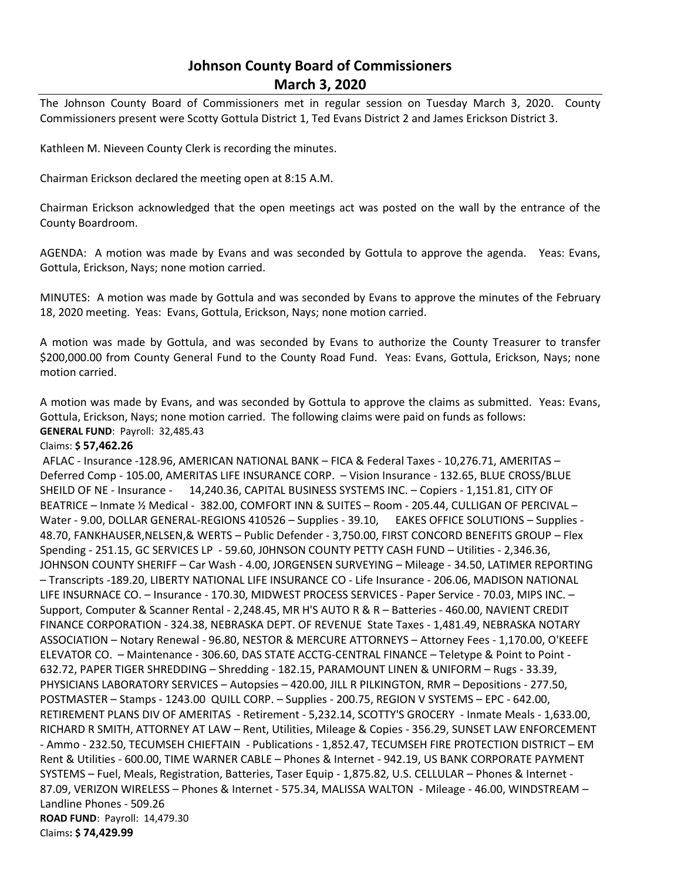# **Johnson County Board of Commissioners March 3, 2020**

The Johnson County Board of Commissioners met in regular session on Tuesday March 3, 2020. County Commissioners present were Scotty Gottula District 1, Ted Evans District 2 and James Erickson District 3.

Kathleen M. Nieveen County Clerk is recording the minutes.

Chairman Erickson declared the meeting open at 8:15 A.M.

Chairman Erickson acknowledged that the open meetings act was posted on the wall by the entrance of the County Boardroom.

AGENDA: A motion was made by Evans and was seconded by Gottula to approve the agenda. Yeas: Evans, Gottula, Erickson, Nays; none motion carried.

MINUTES: A motion was made by Gottula and was seconded by Evans to approve the minutes of the February 18, 2020 meeting. Yeas: Evans, Gottula, Erickson, Nays; none motion carried.

A motion was made by Gottula, and was seconded by Evans to authorize the County Treasurer to transfer \$200,000.00 from County General Fund to the County Road Fund. Yeas: Evans, Gottula, Erickson, Nays; none motion carried.

A motion was made by Evans, and was seconded by Gottula to approve the claims as submitted. Yeas: Evans, Gottula, Erickson, Nays; none motion carried. The following claims were paid on funds as follows: **GENERAL FUND**: Payroll: 32,485.43

#### Claims: **\$ 57,462.26**

AFLAC - Insurance -128.96, AMERICAN NATIONAL BANK – FICA & Federal Taxes - 10,276.71, AMERITAS – Deferred Comp - 105.00, AMERITAS LIFE INSURANCE CORP. – Vision Insurance - 132.65, BLUE CROSS/BLUE SHEILD OF NE - Insurance - 14,240.36, CAPITAL BUSINESS SYSTEMS INC. – Copiers - 1,151.81, CITY OF BEATRICE – Inmate ½ Medical - 382.00, COMFORT INN & SUITES – Room - 205.44, CULLIGAN OF PERCIVAL – Water - 9.00, DOLLAR GENERAL-REGIONS 410526 – Supplies - 39.10, EAKES OFFICE SOLUTIONS – Supplies - 48.70, FANKHAUSER,NELSEN,& WERTS – Public Defender - 3,750.00, FIRST CONCORD BENEFITS GROUP – Flex Spending - 251.15, GC SERVICES LP - 59.60, J0HNSON COUNTY PETTY CASH FUND – Utilities - 2,346.36, JOHNSON COUNTY SHERIFF – Car Wash - 4.00, JORGENSEN SURVEYING – Mileage - 34.50, LATIMER REPORTING – Transcripts -189.20, LIBERTY NATIONAL LIFE INSURANCE CO - Life Insurance - 206.06, MADISON NATIONAL LIFE INSURNACE CO. – Insurance - 170.30, MIDWEST PROCESS SERVICES - Paper Service - 70.03, MIPS INC. – Support, Computer & Scanner Rental - 2,248.45, MR H'S AUTO R & R – Batteries - 460.00, NAVIENT CREDIT FINANCE CORPORATION - 324.38, NEBRASKA DEPT. OF REVENUE State Taxes - 1,481.49, NEBRASKA NOTARY ASSOCIATION – Notary Renewal - 96.80, NESTOR & MERCURE ATTORNEYS – Attorney Fees - 1,170.00, O'KEEFE ELEVATOR CO. – Maintenance - 306.60, DAS STATE ACCTG-CENTRAL FINANCE – Teletype & Point to Point - 632.72, PAPER TIGER SHREDDING – Shredding - 182.15, PARAMOUNT LINEN & UNIFORM – Rugs - 33.39, PHYSICIANS LABORATORY SERVICES – Autopsies – 420.00, JILL R PILKINGTON, RMR – Depositions - 277.50, POSTMASTER – Stamps - 1243.00 QUILL CORP. – Supplies - 200.75, REGION V SYSTEMS – EPC - 642.00, RETIREMENT PLANS DIV OF AMERITAS - Retirement - 5,232.14, SCOTTY'S GROCERY - Inmate Meals - 1,633.00, RICHARD R SMITH, ATTORNEY AT LAW – Rent, Utilities, Mileage & Copies - 356.29, SUNSET LAW ENFORCEMENT - Ammo - 232.50, TECUMSEH CHIEFTAIN - Publications - 1,852.47, TECUMSEH FIRE PROTECTION DISTRICT – EM Rent & Utilities - 600.00, TIME WARNER CABLE – Phones & Internet - 942.19, US BANK CORPORATE PAYMENT SYSTEMS – Fuel, Meals, Registration, Batteries, Taser Equip - 1,875.82, U.S. CELLULAR – Phones & Internet - 87.09, VERIZON WIRELESS – Phones & Internet - 575.34, MALISSA WALTON - Mileage - 46.00, WINDSTREAM – Landline Phones - 509.26 **ROAD FUND**: Payroll: 14,479.30 Claims**: \$ 74,429.99**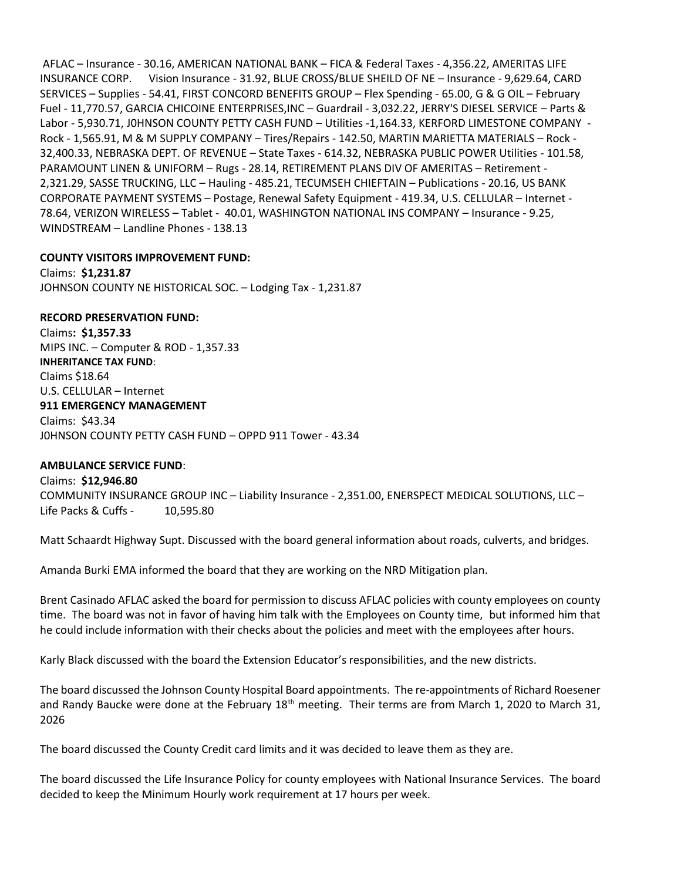AFLAC – Insurance - 30.16, AMERICAN NATIONAL BANK – FICA & Federal Taxes - 4,356.22, AMERITAS LIFE INSURANCE CORP. Vision Insurance - 31.92, BLUE CROSS/BLUE SHEILD OF NE – Insurance - 9,629.64, CARD SERVICES – Supplies - 54.41, FIRST CONCORD BENEFITS GROUP – Flex Spending - 65.00, G & G OIL – February Fuel - 11,770.57, GARCIA CHICOINE ENTERPRISES,INC – Guardrail - 3,032.22, JERRY'S DIESEL SERVICE – Parts & Labor - 5,930.71, J0HNSON COUNTY PETTY CASH FUND – Utilities -1,164.33, KERFORD LIMESTONE COMPANY - Rock - 1,565.91, M & M SUPPLY COMPANY – Tires/Repairs - 142.50, MARTIN MARIETTA MATERIALS – Rock - 32,400.33, NEBRASKA DEPT. OF REVENUE – State Taxes - 614.32, NEBRASKA PUBLIC POWER Utilities - 101.58, PARAMOUNT LINEN & UNIFORM – Rugs - 28.14, RETIREMENT PLANS DIV OF AMERITAS – Retirement - 2,321.29, SASSE TRUCKING, LLC – Hauling - 485.21, TECUMSEH CHIEFTAIN – Publications - 20.16, US BANK CORPORATE PAYMENT SYSTEMS – Postage, Renewal Safety Equipment - 419.34, U.S. CELLULAR – Internet - 78.64, VERIZON WIRELESS – Tablet - 40.01, WASHINGTON NATIONAL INS COMPANY – Insurance - 9.25, WINDSTREAM – Landline Phones - 138.13

## **COUNTY VISITORS IMPROVEMENT FUND:**

Claims: **\$1,231.87** JOHNSON COUNTY NE HISTORICAL SOC. – Lodging Tax - 1,231.87

### **RECORD PRESERVATION FUND:**

Claims**: \$1,357.33** MIPS INC. – Computer & ROD - 1,357.33 **INHERITANCE TAX FUND**: Claims \$18.64 U.S. CELLULAR – Internet **911 EMERGENCY MANAGEMENT** Claims: \$43.34 J0HNSON COUNTY PETTY CASH FUND – OPPD 911 Tower - 43.34

#### **AMBULANCE SERVICE FUND**:

Claims: **\$12,946.80** COMMUNITY INSURANCE GROUP INC – Liability Insurance - 2,351.00, ENERSPECT MEDICAL SOLUTIONS, LLC – Life Packs & Cuffs - 10,595.80

Matt Schaardt Highway Supt. Discussed with the board general information about roads, culverts, and bridges.

Amanda Burki EMA informed the board that they are working on the NRD Mitigation plan.

Brent Casinado AFLAC asked the board for permission to discuss AFLAC policies with county employees on county time. The board was not in favor of having him talk with the Employees on County time, but informed him that he could include information with their checks about the policies and meet with the employees after hours.

Karly Black discussed with the board the Extension Educator's responsibilities, and the new districts.

The board discussed the Johnson County Hospital Board appointments. The re-appointments of Richard Roesener and Randy Baucke were done at the February 18<sup>th</sup> meeting. Their terms are from March 1, 2020 to March 31, 2026

The board discussed the County Credit card limits and it was decided to leave them as they are.

The board discussed the Life Insurance Policy for county employees with National Insurance Services. The board decided to keep the Minimum Hourly work requirement at 17 hours per week.